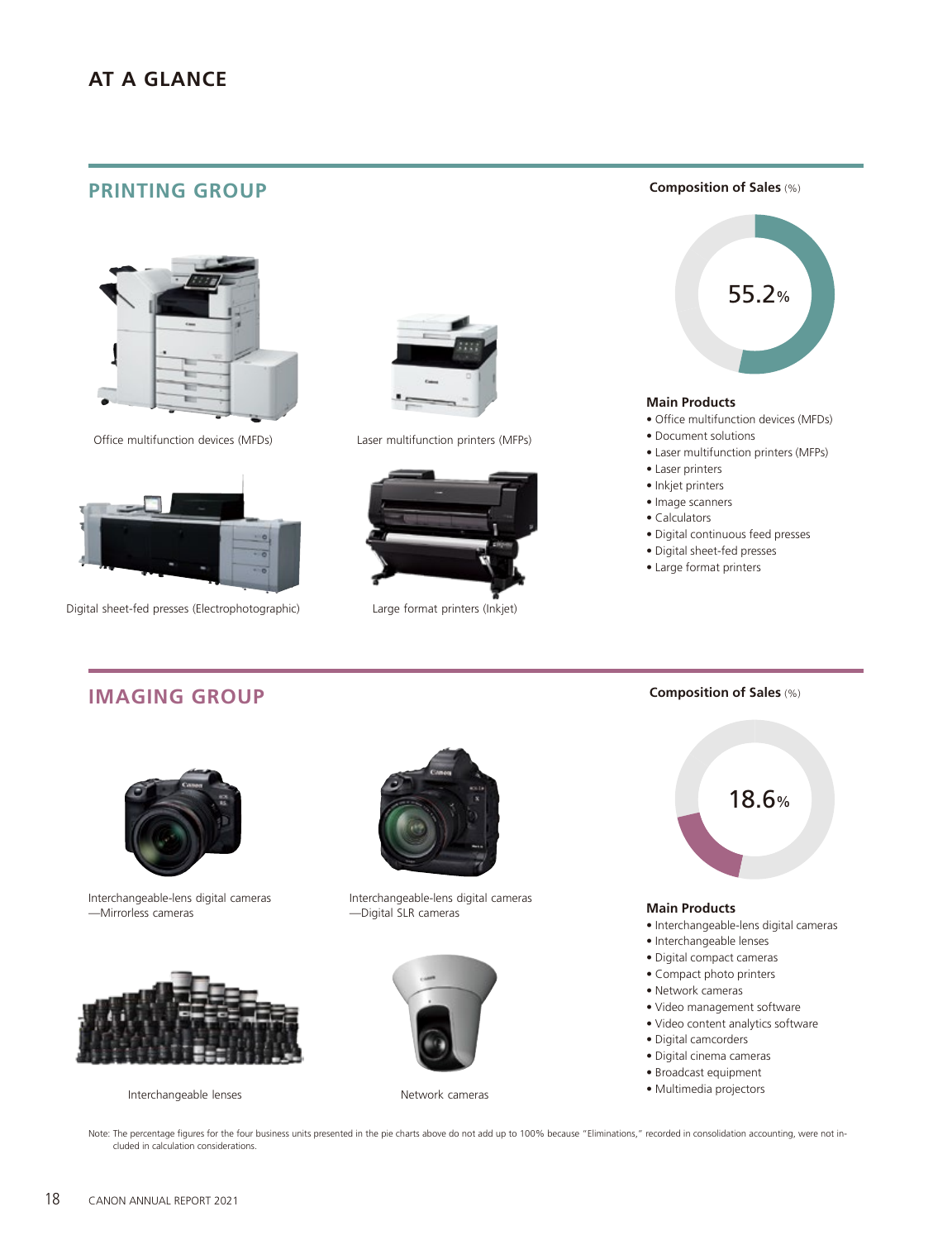### **PRINTING GROUP**



Office multifunction devices (MFDs) Laser multifunction printers (MFPs)



Digital sheet-fed presses (Electrophotographic) Large format printers (Inkjet)







**Composition of Sales** (%)

#### **Main Products**

- Office multifunction devices (MFDs)
- Document solutions
- Laser multifunction printers (MFPs)
- Laser printers
- Inkjet printers
- Image scanners
- Calculators
- Digital continuous feed presses

**Composition of Sales** (%)

- Digital sheet-fed presses
- Large format printers

# **IMAGING GROUP**



Interchangeable-lens digital cameras —Mirrorless cameras



Interchangeable lenses Network cameras



Interchangeable-lens digital cameras —Digital SLR cameras





- Digital compact cameras
- Compact photo printers
- Network cameras
- Video management software
- Video content analytics software
- Digital camcorders
- Digital cinema cameras
- Broadcast equipment
- Multimedia projectors

Note: The percentage figures for the four business units presented in the pie charts above do not add up to 100% because "Eliminations," recorded in consolidation accounting, were not included in calculation considerations.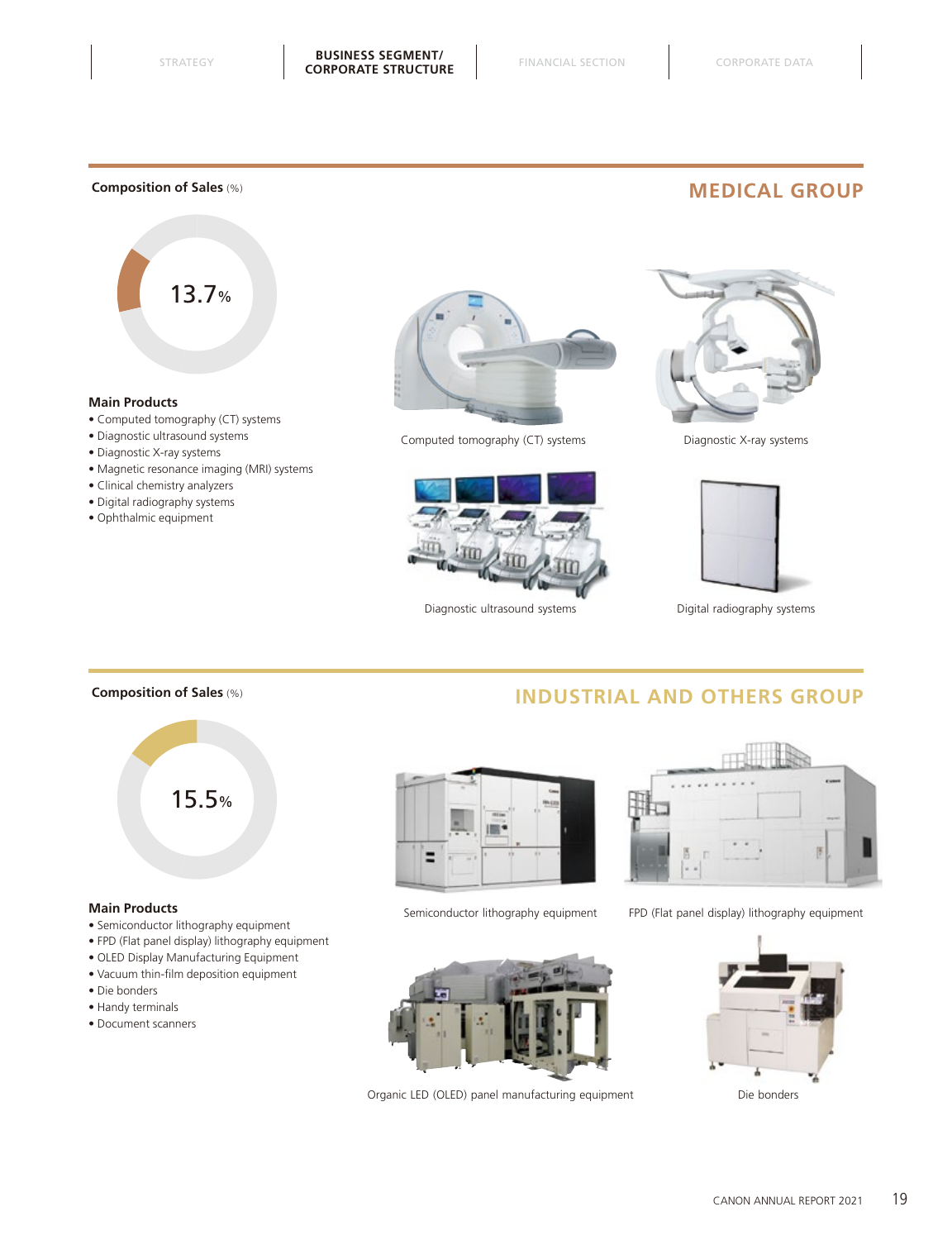#### **Composition of Sales** (%)

# **MEDICAL GROUP**



#### **Main Products**

- Computed tomography (CT) systems
- Diagnostic ultrasound systems
- Diagnostic X-ray systems
- Magnetic resonance imaging (MRI) systems
- Clinical chemistry analyzers
- Digital radiography systems
- Ophthalmic equipment



Computed tomography (CT) systems Diagnostic X-ray systems



Diagnostic ultrasound systems **Digital radiography systems** 





**INDUSTRIAL AND OTHERS GROUP**

#### **Composition of Sales** (%)



#### **Main Products**

- Semiconductor lithography equipment
- FPD (Flat panel display) lithography equipment
- OLED Display Manufacturing Equipment
- Vacuum thin-film deposition equipment
- Die bonders
- Handy terminals
- Document scanners





Organic LED (OLED) panel manufacturing equipment Die bonders



Semiconductor lithography equipment FPD (Flat panel display) lithography equipment

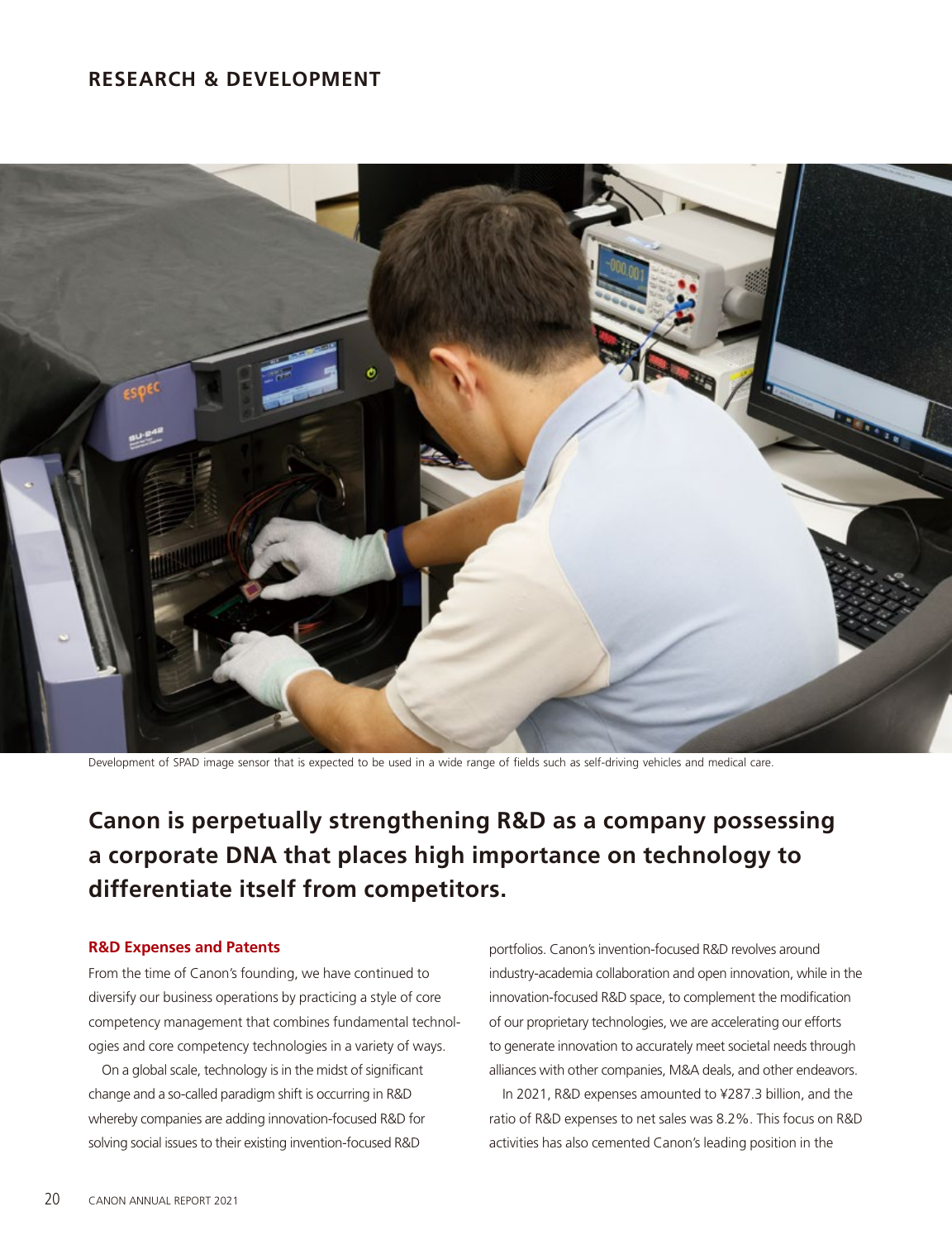### **RESEARCH & DEVELOPMENT**



Development of SPAD image sensor that is expected to be used in a wide range of fields such as self-driving vehicles and medical care.

# **Canon is perpetually strengthening R&D as a company possessing a corporate DNA that places high importance on technology to differentiate itself from competitors.**

#### **R&D Expenses and Patents**

From the time of Canon's founding, we have continued to diversify our business operations by practicing a style of core competency management that combines fundamental technologies and core competency technologies in a variety of ways.

On a global scale, technology is in the midst of significant change and a so-called paradigm shift is occurring in R&D whereby companies are adding innovation-focused R&D for solving social issues to their existing invention-focused R&D

portfolios. Canon's invention-focused R&D revolves around industry-academia collaboration and open innovation, while in the innovation-focused R&D space, to complement the modification of our proprietary technologies, we are accelerating our efforts to generate innovation to accurately meet societal needs through alliances with other companies, M&A deals, and other endeavors.

In 2021, R&D expenses amounted to ¥287.3 billion, and the ratio of R&D expenses to net sales was 8.2%. This focus on R&D activities has also cemented Canon's leading position in the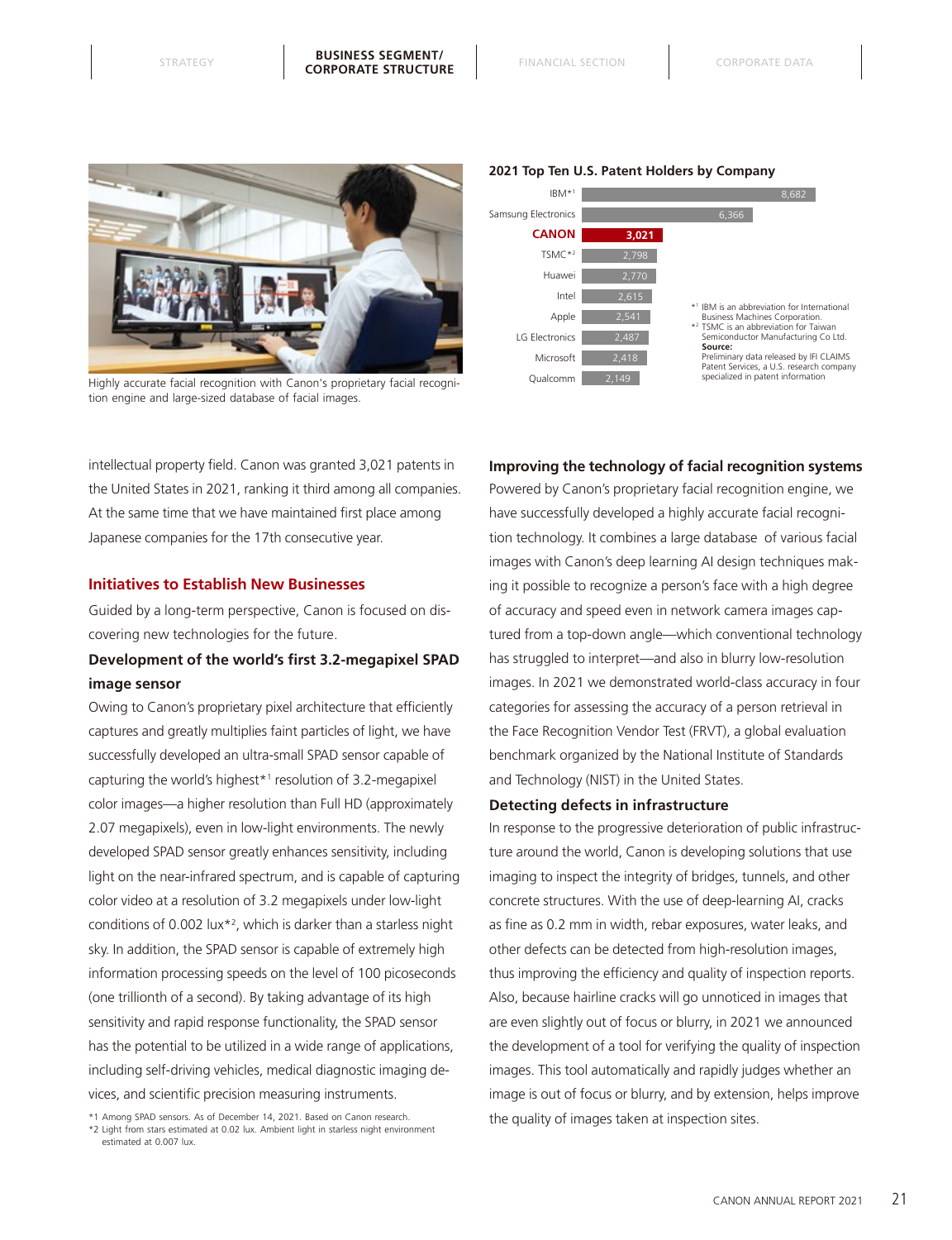

Highly accurate facial recognition with Canon's proprietary facial recognition engine and large-sized database of facial images.



#### **2021 Top Ten U.S. Patent Holders by Company**

#### **Improving the technology of facial recognition systems**

intellectual property field. Canon was granted 3,021 patents in the United States in 2021, ranking it third among all companies. At the same time that we have maintained first place among Japanese companies for the 17th consecutive year.

#### **Initiatives to Establish New Businesses**

Guided by a long-term perspective, Canon is focused on discovering new technologies for the future.

### **Development of the world's first 3.2-megapixel SPAD image sensor**

Owing to Canon's proprietary pixel architecture that efficiently captures and greatly multiplies faint particles of light, we have successfully developed an ultra-small SPAD sensor capable of capturing the world's highest\*1 resolution of 3.2-megapixel color images—a higher resolution than Full HD (approximately 2.07 megapixels), even in low-light environments. The newly developed SPAD sensor greatly enhances sensitivity, including light on the near-infrared spectrum, and is capable of capturing color video at a resolution of 3.2 megapixels under low-light conditions of 0.002 lux\*2 , which is darker than a starless night sky. In addition, the SPAD sensor is capable of extremely high information processing speeds on the level of 100 picoseconds (one trillionth of a second). By taking advantage of its high sensitivity and rapid response functionality, the SPAD sensor has the potential to be utilized in a wide range of applications, including self-driving vehicles, medical diagnostic imaging devices, and scientific precision measuring instruments.

\*1 Among SPAD sensors. As of December 14, 2021. Based on Canon research. \*2 Light from stars estimated at 0.02 lux. Ambient light in starless night environment estimated at 0.007 lux.

Powered by Canon's proprietary facial recognition engine, we have successfully developed a highly accurate facial recognition technology. It combines a large database of various facial images with Canon's deep learning AI design techniques making it possible to recognize a person's face with a high degree of accuracy and speed even in network camera images captured from a top-down angle—which conventional technology has struggled to interpret—and also in blurry low-resolution images. In 2021 we demonstrated world-class accuracy in four categories for assessing the accuracy of a person retrieval in the Face Recognition Vendor Test (FRVT), a global evaluation benchmark organized by the National Institute of Standards and Technology (NIST) in the United States.

#### **Detecting defects in infrastructure**

In response to the progressive deterioration of public infrastructure around the world, Canon is developing solutions that use imaging to inspect the integrity of bridges, tunnels, and other concrete structures. With the use of deep-learning AI, cracks as fine as 0.2 mm in width, rebar exposures, water leaks, and other defects can be detected from high-resolution images, thus improving the efficiency and quality of inspection reports. Also, because hairline cracks will go unnoticed in images that are even slightly out of focus or blurry, in 2021 we announced the development of a tool for verifying the quality of inspection images. This tool automatically and rapidly judges whether an image is out of focus or blurry, and by extension, helps improve the quality of images taken at inspection sites.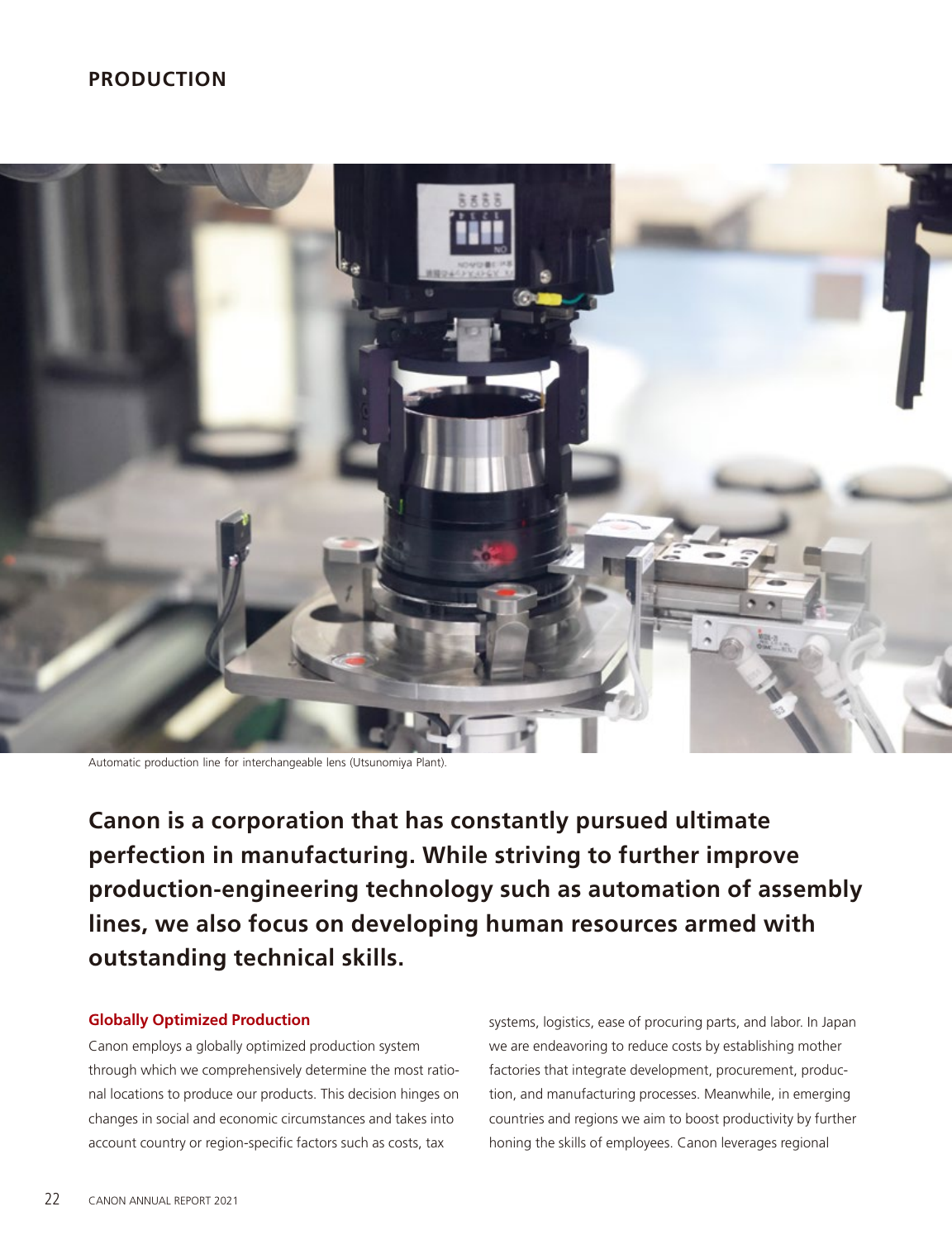# **PRODUCTION**



Automatic production line for interchangeable lens (Utsunomiya Plant).

**Canon is a corporation that has constantly pursued ultimate perfection in manufacturing. While striving to further improve production-engineering technology such as automation of assembly lines, we also focus on developing human resources armed with outstanding technical skills.**

#### **Globally Optimized Production**

Canon employs a globally optimized production system through which we comprehensively determine the most rational locations to produce our products. This decision hinges on changes in social and economic circumstances and takes into account country or region-specific factors such as costs, tax

systems, logistics, ease of procuring parts, and labor. In Japan we are endeavoring to reduce costs by establishing mother factories that integrate development, procurement, production, and manufacturing processes. Meanwhile, in emerging countries and regions we aim to boost productivity by further honing the skills of employees. Canon leverages regional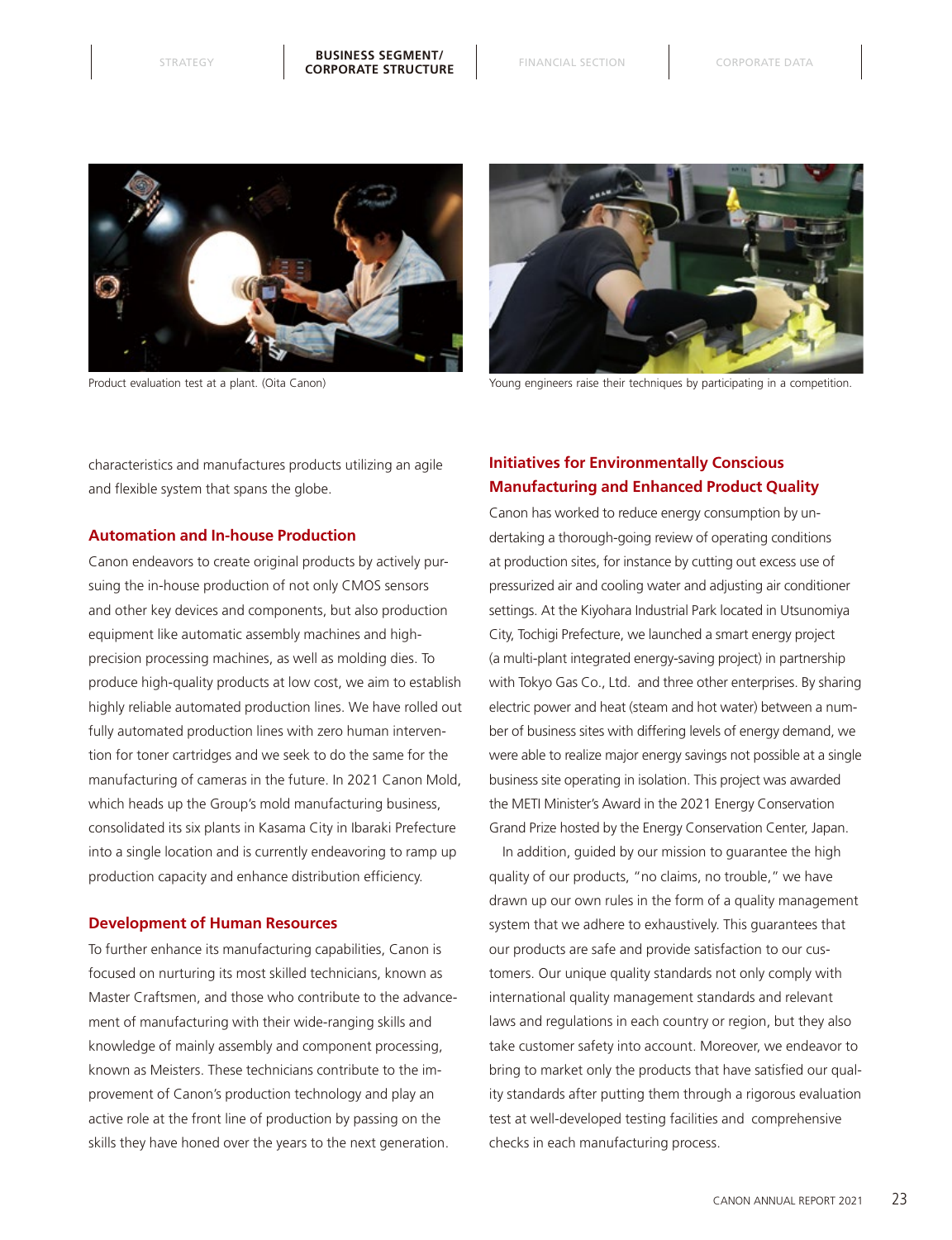



Product evaluation test at a plant. (Oita Canon) Young engineers raise their techniques by participating in a competition.

characteristics and manufactures products utilizing an agile and flexible system that spans the globe.

#### **Automation and In-house Production**

Canon endeavors to create original products by actively pursuing the in-house production of not only CMOS sensors and other key devices and components, but also production equipment like automatic assembly machines and highprecision processing machines, as well as molding dies. To produce high-quality products at low cost, we aim to establish highly reliable automated production lines. We have rolled out fully automated production lines with zero human intervention for toner cartridges and we seek to do the same for the manufacturing of cameras in the future. In 2021 Canon Mold, which heads up the Group's mold manufacturing business, consolidated its six plants in Kasama City in Ibaraki Prefecture into a single location and is currently endeavoring to ramp up production capacity and enhance distribution efficiency.

#### **Development of Human Resources**

To further enhance its manufacturing capabilities, Canon is focused on nurturing its most skilled technicians, known as Master Craftsmen, and those who contribute to the advancement of manufacturing with their wide-ranging skills and knowledge of mainly assembly and component processing, known as Meisters. These technicians contribute to the improvement of Canon's production technology and play an active role at the front line of production by passing on the skills they have honed over the years to the next generation.

### **Initiatives for Environmentally Conscious Manufacturing and Enhanced Product Quality**

Canon has worked to reduce energy consumption by undertaking a thorough-going review of operating conditions at production sites, for instance by cutting out excess use of pressurized air and cooling water and adjusting air conditioner settings. At the Kiyohara Industrial Park located in Utsunomiya City, Tochigi Prefecture, we launched a smart energy project (a multi-plant integrated energy-saving project) in partnership with Tokyo Gas Co., Ltd. and three other enterprises. By sharing electric power and heat (steam and hot water) between a number of business sites with differing levels of energy demand, we were able to realize major energy savings not possible at a single business site operating in isolation. This project was awarded the METI Minister's Award in the 2021 Energy Conservation Grand Prize hosted by the Energy Conservation Center, Japan.

In addition, guided by our mission to guarantee the high quality of our products, "no claims, no trouble," we have drawn up our own rules in the form of a quality management system that we adhere to exhaustively. This guarantees that our products are safe and provide satisfaction to our customers. Our unique quality standards not only comply with international quality management standards and relevant laws and regulations in each country or region, but they also take customer safety into account. Moreover, we endeavor to bring to market only the products that have satisfied our quality standards after putting them through a rigorous evaluation test at well-developed testing facilities and comprehensive checks in each manufacturing process.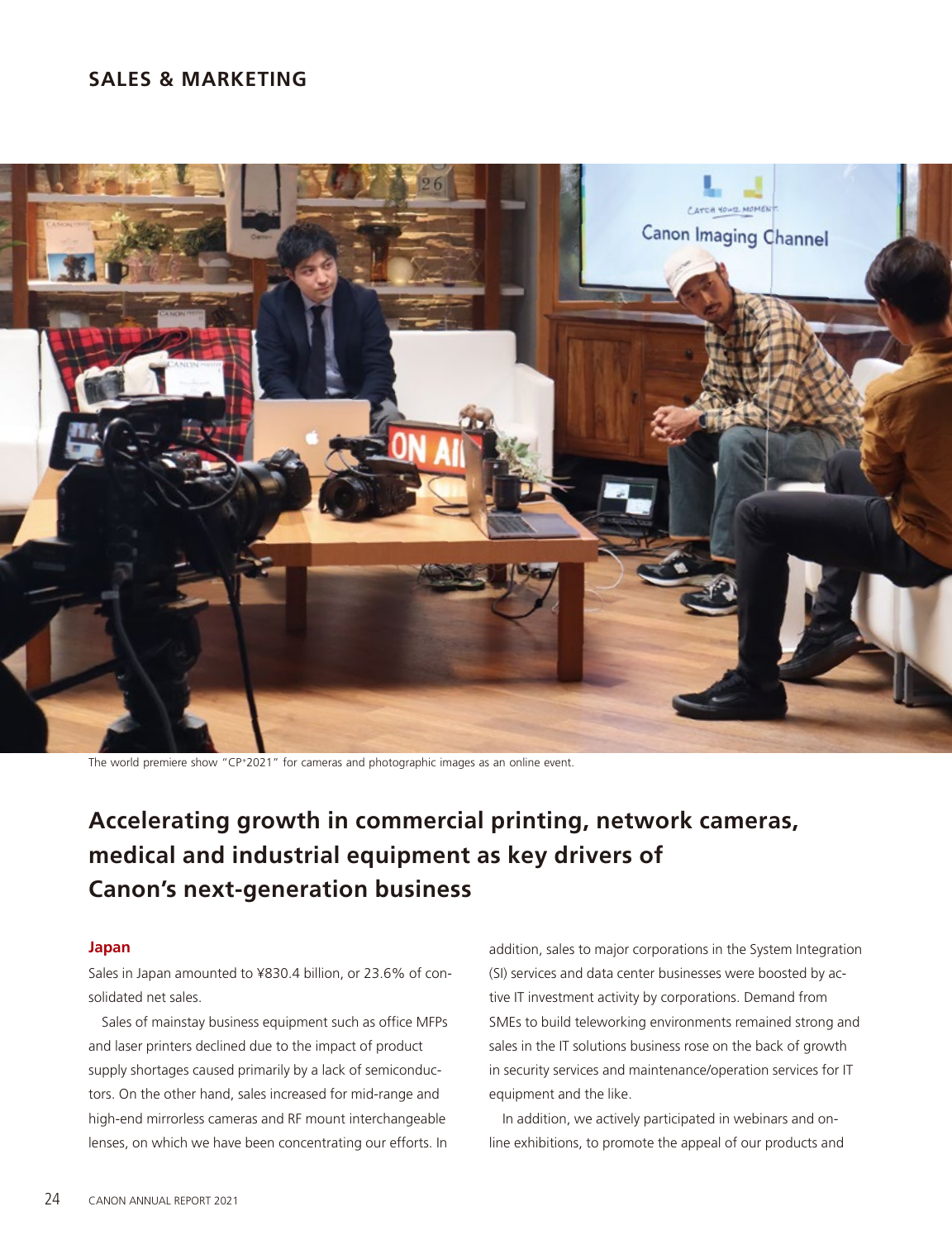### **SALES & MARKETING**



The world premiere show "CP+2021" for cameras and photographic images as an online event.

# **Accelerating growth in commercial printing, network cameras, medical and industrial equipment as key drivers of Canon's next-generation business**

### **Japan**

Sales in Japan amounted to ¥830.4 billion, or 23.6% of consolidated net sales.

Sales of mainstay business equipment such as office MFPs and laser printers declined due to the impact of product supply shortages caused primarily by a lack of semiconductors. On the other hand, sales increased for mid-range and high-end mirrorless cameras and RF mount interchangeable lenses, on which we have been concentrating our efforts. In

addition, sales to major corporations in the System Integration (SI) services and data center businesses were boosted by active IT investment activity by corporations. Demand from SMEs to build teleworking environments remained strong and sales in the IT solutions business rose on the back of growth in security services and maintenance/operation services for IT equipment and the like.

In addition, we actively participated in webinars and online exhibitions, to promote the appeal of our products and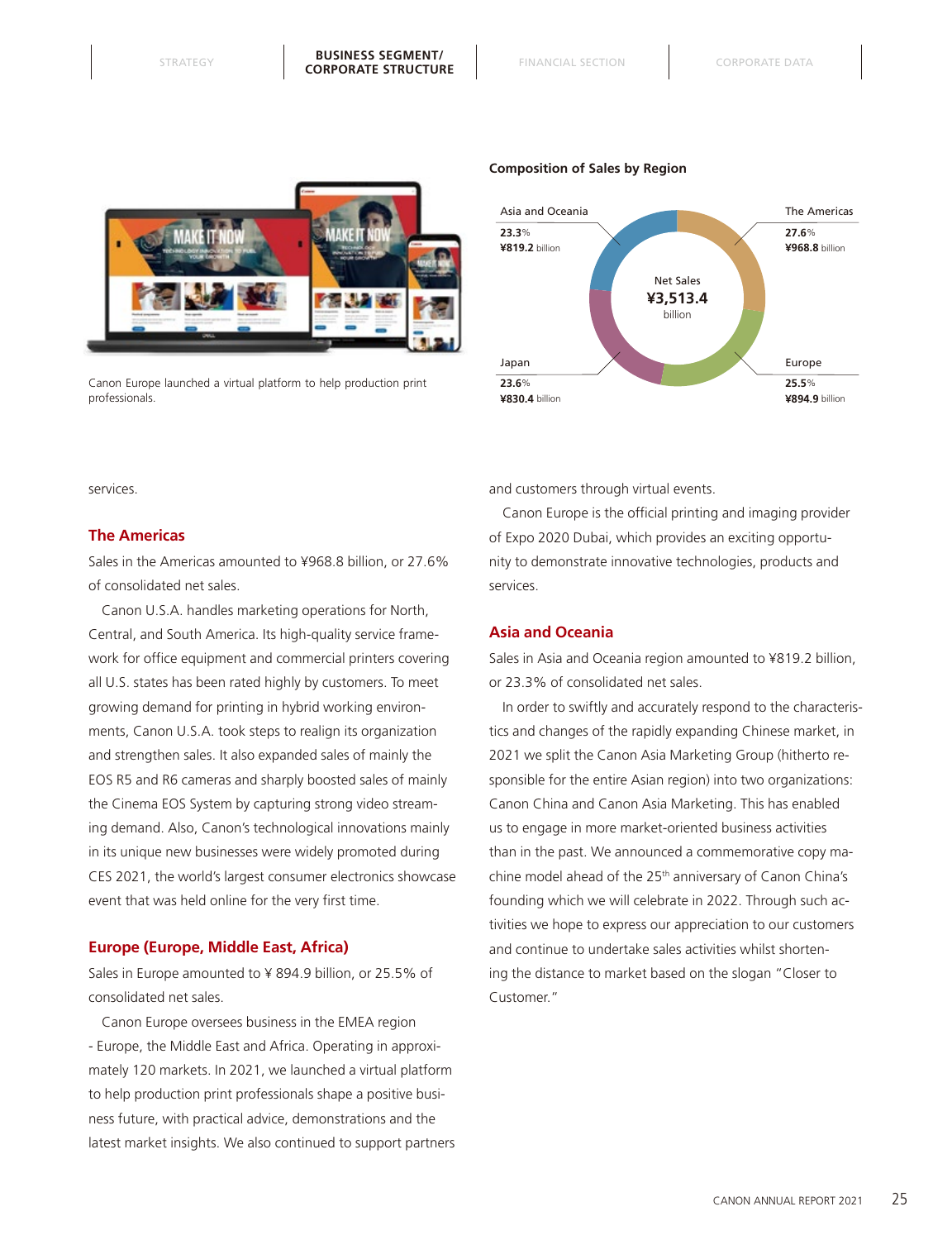

Canon Europe launched a virtual platform to help production print professionals.

#### **Composition of Sales by Region**



services.

#### **The Americas**

Sales in the Americas amounted to ¥968.8 billion, or 27.6% of consolidated net sales.

Canon U.S.A. handles marketing operations for North, Central, and South America. Its high-quality service framework for office equipment and commercial printers covering all U.S. states has been rated highly by customers. To meet growing demand for printing in hybrid working environments, Canon U.S.A. took steps to realign its organization and strengthen sales. It also expanded sales of mainly the EOS R5 and R6 cameras and sharply boosted sales of mainly the Cinema EOS System by capturing strong video streaming demand. Also, Canon's technological innovations mainly in its unique new businesses were widely promoted during CES 2021, the world's largest consumer electronics showcase event that was held online for the very first time.

#### **Europe (Europe, Middle East, Africa)**

Sales in Europe amounted to ¥ 894.9 billion, or 25.5% of consolidated net sales.

Canon Europe oversees business in the EMEA region - Europe, the Middle East and Africa. Operating in approximately 120 markets. In 2021, we launched a virtual platform to help production print professionals shape a positive business future, with practical advice, demonstrations and the latest market insights. We also continued to support partners and customers through virtual events.

Canon Europe is the official printing and imaging provider of Expo 2020 Dubai, which provides an exciting opportunity to demonstrate innovative technologies, products and services.

#### **Asia and Oceania**

Sales in Asia and Oceania region amounted to ¥819.2 billion, or 23.3% of consolidated net sales.

In order to swiftly and accurately respond to the characteristics and changes of the rapidly expanding Chinese market, in 2021 we split the Canon Asia Marketing Group (hitherto responsible for the entire Asian region) into two organizations: Canon China and Canon Asia Marketing. This has enabled us to engage in more market-oriented business activities than in the past. We announced a commemorative copy machine model ahead of the 25<sup>th</sup> anniversary of Canon China's founding which we will celebrate in 2022. Through such activities we hope to express our appreciation to our customers and continue to undertake sales activities whilst shortening the distance to market based on the slogan "Closer to Customer."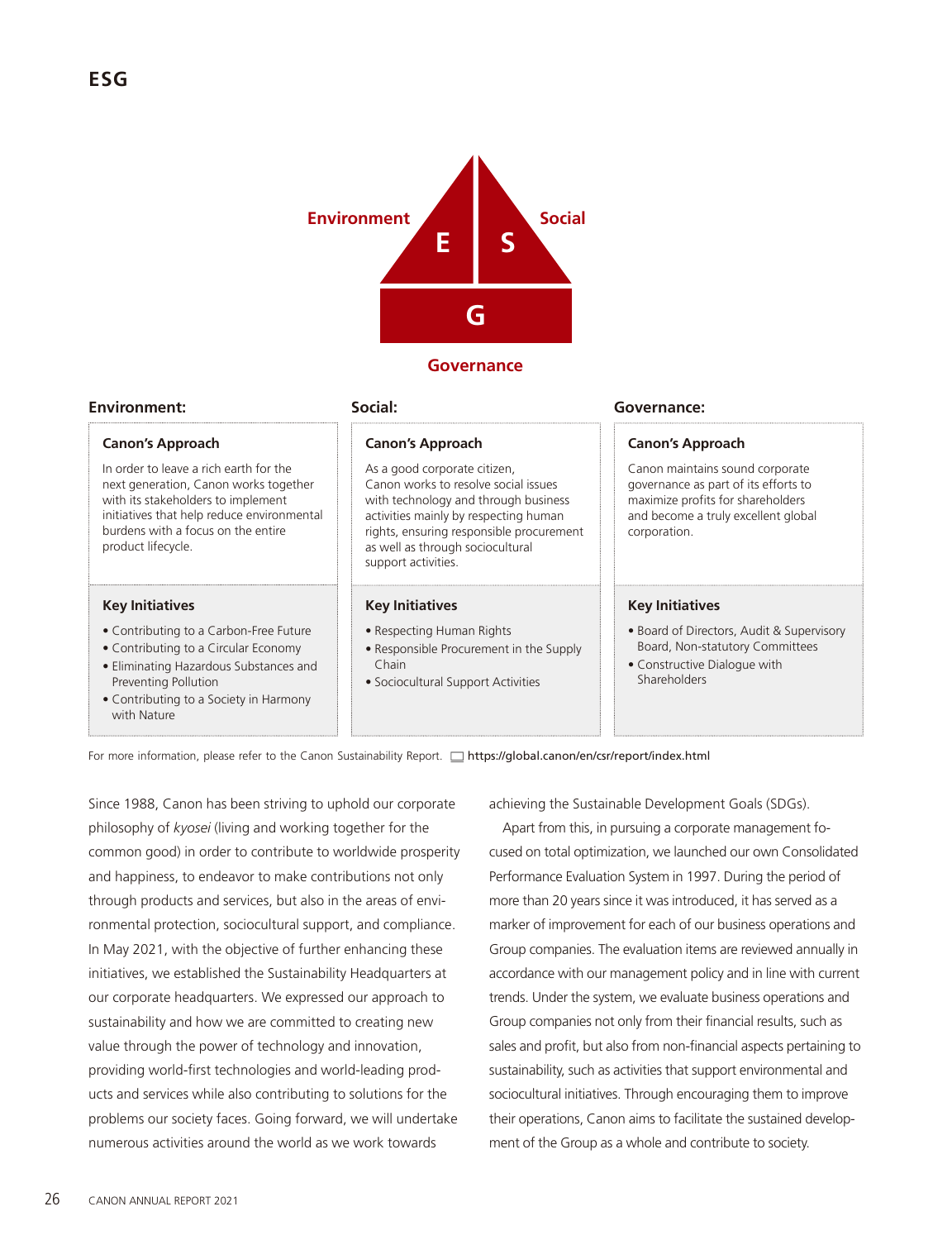

### **Governance**

#### **Environment:**

#### **Canon's Approach**

In order to leave a rich earth for the next generation, Canon works together with its stakeholders to implement initiatives that help reduce environmental burdens with a focus on the entire product lifecycle.

#### **Key Initiatives**

- Contributing to a Carbon-Free Future
- Contributing to a Circular Economy
- Eliminating Hazardous Substances and Preventing Pollution
- Contributing to a Society in Harmony with Nature

# **Social:**

#### **Canon's Approach**

As a good corporate citizen, Canon works to resolve social issues with technology and through business activities mainly by respecting human rights, ensuring responsible procurement as well as through sociocultural support activities.

#### **Key Initiatives**

- Respecting Human Rights
- Responsible Procurement in the Supply Chain
- Sociocultural Support Activities

#### **Governance:**

#### **Canon's Approach**

Canon maintains sound corporate governance as part of its efforts to maximize profits for shareholders and become a truly excellent global corporation.

#### **Key Initiatives**

- Board of Directors, Audit & Supervisory Board, Non-statutory Committees
- Constructive Dialogue with Shareholders

For more information, please refer to the Canon Sustainability Report. [1] https://global.canon/en/csr/report/index.html

Since 1988, Canon has been striving to uphold our corporate philosophy of *kyosei* (living and working together for the common good) in order to contribute to worldwide prosperity and happiness, to endeavor to make contributions not only through products and services, but also in the areas of environmental protection, sociocultural support, and compliance. In May 2021, with the objective of further enhancing these initiatives, we established the Sustainability Headquarters at our corporate headquarters. We expressed our approach to sustainability and how we are committed to creating new value through the power of technology and innovation, providing world-first technologies and world-leading products and services while also contributing to solutions for the problems our society faces. Going forward, we will undertake numerous activities around the world as we work towards

achieving the Sustainable Development Goals (SDGs).

Apart from this, in pursuing a corporate management focused on total optimization, we launched our own Consolidated Performance Evaluation System in 1997. During the period of more than 20 years since it was introduced, it has served as a marker of improvement for each of our business operations and Group companies. The evaluation items are reviewed annually in accordance with our management policy and in line with current trends. Under the system, we evaluate business operations and Group companies not only from their financial results, such as sales and profit, but also from non-financial aspects pertaining to sustainability, such as activities that support environmental and sociocultural initiatives. Through encouraging them to improve their operations, Canon aims to facilitate the sustained development of the Group as a whole and contribute to society.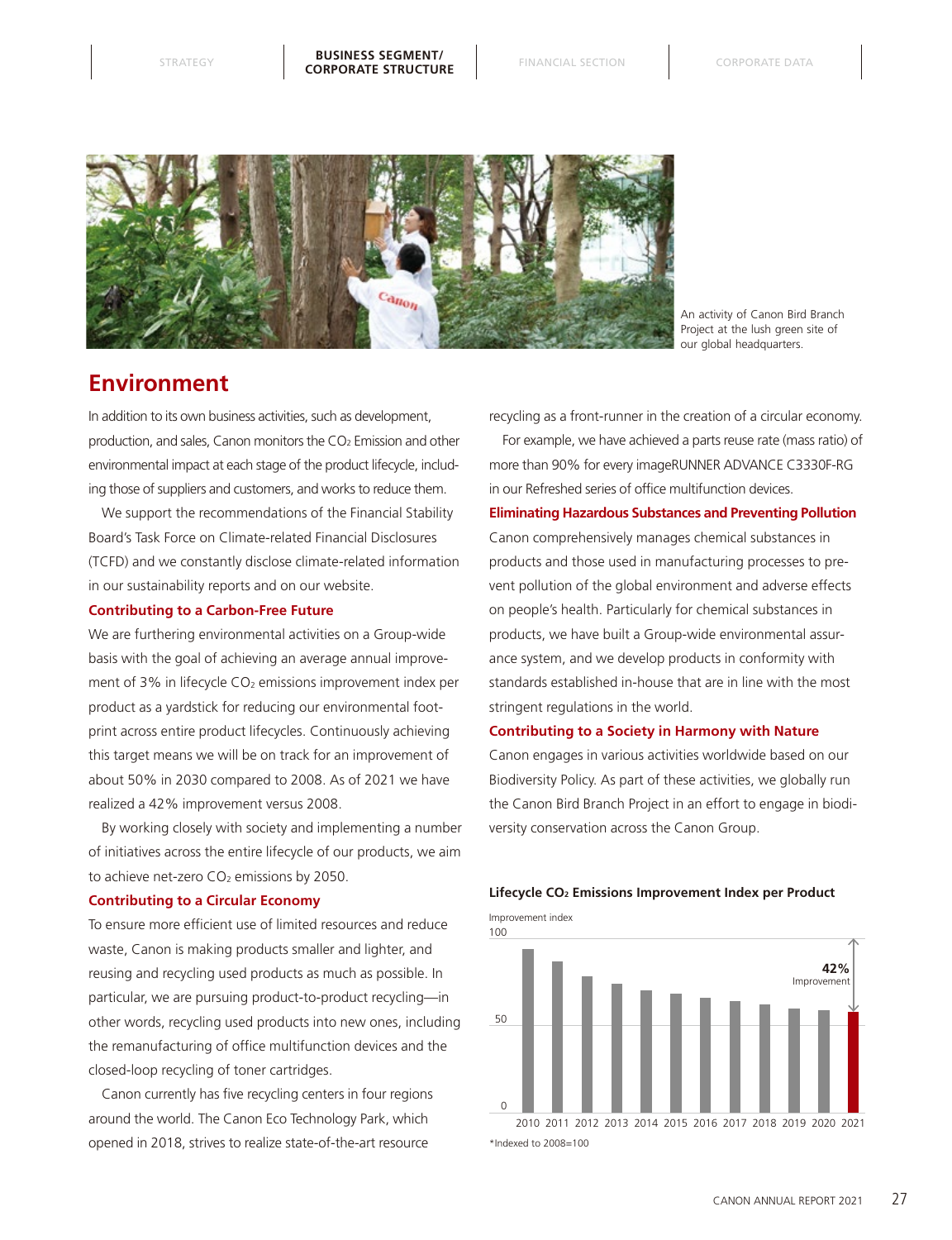

An activity of Canon Bird Branch Project at the lush green site of our global headquarters.

# **Environment**

In addition to its own business activities, such as development, production, and sales, Canon monitors the CO<sub>2</sub> Emission and other environmental impact at each stage of the product lifecycle, including those of suppliers and customers, and works to reduce them.

We support the recommendations of the Financial Stability Board's Task Force on Climate-related Financial Disclosures (TCFD) and we constantly disclose climate-related information in our sustainability reports and on our website.

#### **Contributing to a Carbon-Free Future**

We are furthering environmental activities on a Group-wide basis with the goal of achieving an average annual improvement of 3% in lifecycle  $CO<sub>2</sub>$  emissions improvement index per product as a yardstick for reducing our environmental footprint across entire product lifecycles. Continuously achieving this target means we will be on track for an improvement of about 50% in 2030 compared to 2008. As of 2021 we have realized a 42% improvement versus 2008.

By working closely with society and implementing a number of initiatives across the entire lifecycle of our products, we aim to achieve net-zero CO<sub>2</sub> emissions by 2050.

#### **Contributing to a Circular Economy**

To ensure more efficient use of limited resources and reduce waste, Canon is making products smaller and lighter, and reusing and recycling used products as much as possible. In particular, we are pursuing product-to-product recycling—in other words, recycling used products into new ones, including the remanufacturing of office multifunction devices and the closed-loop recycling of toner cartridges.

Canon currently has five recycling centers in four regions around the world. The Canon Eco Technology Park, which opened in 2018, strives to realize state-of-the-art resource

recycling as a front-runner in the creation of a circular economy.

For example, we have achieved a parts reuse rate (mass ratio) of more than 90% for every imageRUNNER ADVANCE C3330F-RG in our Refreshed series of office multifunction devices.

# **Eliminating Hazardous Substances and Preventing Pollution** Canon comprehensively manages chemical substances in products and those used in manufacturing processes to prevent pollution of the global environment and adverse effects on people's health. Particularly for chemical substances in products, we have built a Group-wide environmental assurance system, and we develop products in conformity with standards established in-house that are in line with the most stringent regulations in the world.

#### **Contributing to a Society in Harmony with Nature**

Canon engages in various activities worldwide based on our Biodiversity Policy. As part of these activities, we globally run the Canon Bird Branch Project in an effort to engage in biodiversity conservation across the Canon Group.

#### **Lifecycle CO2 Emissions Improvement Index per Product**

Improvement index

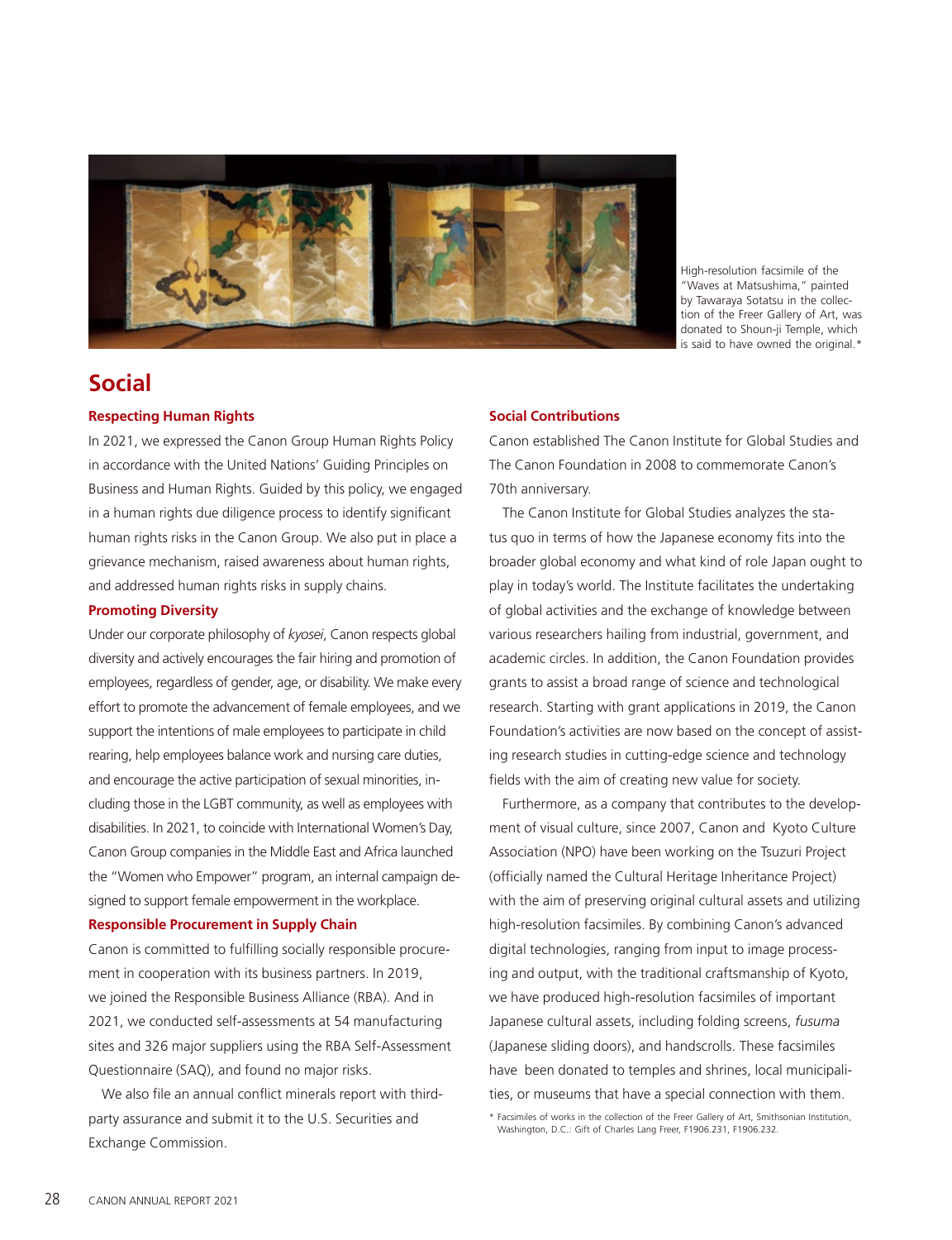

High-resolution facsimile of the "Waves at Matsushima," painted by Tawaraya Sotatsu in the collection of the Freer Gallery of Art, was donated to Shoun-ji Temple, which is said to have owned the original.\*

# **Social**

#### **Respecting Human Rights**

In 2021, we expressed the Canon Group Human Rights Policy in accordance with the United Nations' Guiding Principles on Business and Human Rights. Guided by this policy, we engaged in a human rights due diligence process to identify significant human rights risks in the Canon Group. We also put in place a grievance mechanism, raised awareness about human rights, and addressed human rights risks in supply chains.

#### **Promoting Diversity**

Under our corporate philosophy of *kyosei*, Canon respects global diversity and actively encourages the fair hiring and promotion of employees, regardless of gender, age, or disability. We make every effort to promote the advancement of female employees, and we support the intentions of male employees to participate in child rearing, help employees balance work and nursing care duties, and encourage the active participation of sexual minorities, including those in the LGBT community, as well as employees with disabilities. In 2021, to coincide with International Women's Day, Canon Group companies in the Middle East and Africa launched the "Women who Empower" program, an internal campaign designed to support female empowerment in the workplace.

#### **Responsible Procurement in Supply Chain**

Canon is committed to fulfilling socially responsible procurement in cooperation with its business partners. In 2019, we joined the Responsible Business Alliance (RBA). And in 2021, we conducted self-assessments at 54 manufacturing sites and 326 major suppliers using the RBA Self-Assessment Questionnaire (SAQ), and found no major risks.

We also file an annual conflict minerals report with thirdparty assurance and submit it to the U.S. Securities and Exchange Commission.

#### **Social Contributions**

Canon established The Canon Institute for Global Studies and The Canon Foundation in 2008 to commemorate Canon's 70th anniversary.

The Canon Institute for Global Studies analyzes the status quo in terms of how the Japanese economy fits into the broader global economy and what kind of role Japan ought to play in today's world. The Institute facilitates the undertaking of global activities and the exchange of knowledge between various researchers hailing from industrial, government, and academic circles. In addition, the Canon Foundation provides grants to assist a broad range of science and technological research. Starting with grant applications in 2019, the Canon Foundation's activities are now based on the concept of assisting research studies in cutting-edge science and technology fields with the aim of creating new value for society.

Furthermore, as a company that contributes to the development of visual culture, since 2007, Canon and Kyoto Culture Association (NPO) have been working on the Tsuzuri Project (officially named the Cultural Heritage Inheritance Project) with the aim of preserving original cultural assets and utilizing high-resolution facsimiles. By combining Canon's advanced digital technologies, ranging from input to image processing and output, with the traditional craftsmanship of Kyoto, we have produced high-resolution facsimiles of important Japanese cultural assets, including folding screens, *fusuma* (Japanese sliding doors), and handscrolls. These facsimiles have been donated to temples and shrines, local municipalities, or museums that have a special connection with them.

<sup>\*</sup> Facsimiles of works in the collection of the Freer Gallery of Art, Smithsonian Institution, Washington, D.C.: Gift of Charles Lang Freer, F1906.231, F1906.232.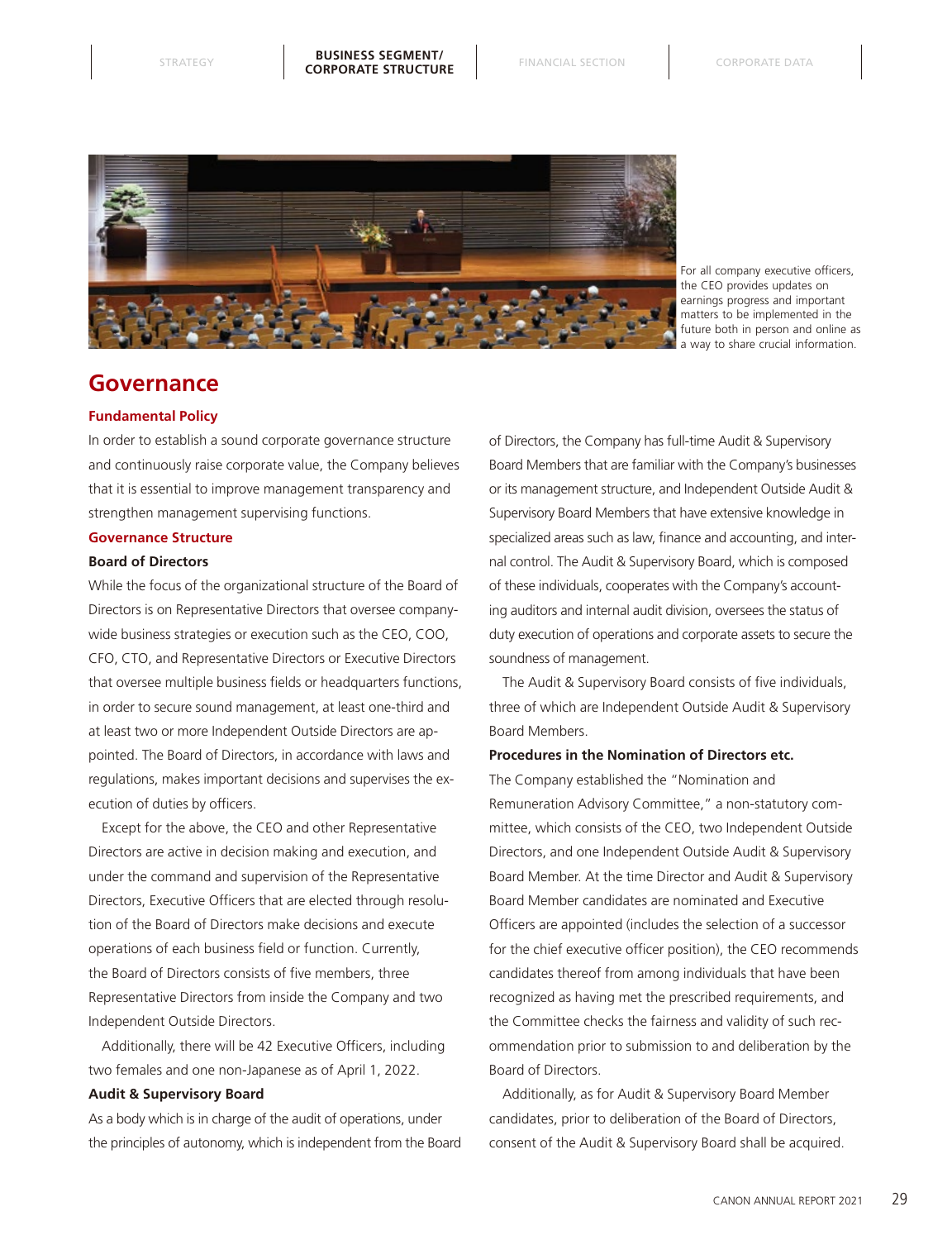

For all company executive officers the CEO provides updates on earnings progress and important matters to be implemented in the future both in person and online as a way to share crucial information.

### **Governance**

#### **Fundamental Policy**

In order to establish a sound corporate governance structure and continuously raise corporate value, the Company believes that it is essential to improve management transparency and strengthen management supervising functions.

#### **Governance Structure**

#### **Board of Directors**

While the focus of the organizational structure of the Board of Directors is on Representative Directors that oversee companywide business strategies or execution such as the CEO, COO, CFO, CTO, and Representative Directors or Executive Directors that oversee multiple business fields or headquarters functions, in order to secure sound management, at least one-third and at least two or more Independent Outside Directors are appointed. The Board of Directors, in accordance with laws and regulations, makes important decisions and supervises the execution of duties by officers.

Except for the above, the CEO and other Representative Directors are active in decision making and execution, and under the command and supervision of the Representative Directors, Executive Officers that are elected through resolution of the Board of Directors make decisions and execute operations of each business field or function. Currently, the Board of Directors consists of five members, three Representative Directors from inside the Company and two Independent Outside Directors.

Additionally, there will be 42 Executive Officers, including two females and one non-Japanese as of April 1, 2022.

#### **Audit & Supervisory Board**

As a body which is in charge of the audit of operations, under the principles of autonomy, which is independent from the Board of Directors, the Company has full-time Audit & Supervisory Board Members that are familiar with the Company's businesses or its management structure, and Independent Outside Audit & Supervisory Board Members that have extensive knowledge in specialized areas such as law, finance and accounting, and internal control. The Audit & Supervisory Board, which is composed of these individuals, cooperates with the Company's accounting auditors and internal audit division, oversees the status of duty execution of operations and corporate assets to secure the soundness of management.

The Audit & Supervisory Board consists of five individuals, three of which are Independent Outside Audit & Supervisory Board Members.

#### **Procedures in the Nomination of Directors etc.**

The Company established the "Nomination and Remuneration Advisory Committee," a non-statutory committee, which consists of the CEO, two Independent Outside Directors, and one Independent Outside Audit & Supervisory Board Member. At the time Director and Audit & Supervisory Board Member candidates are nominated and Executive Officers are appointed (includes the selection of a successor for the chief executive officer position), the CEO recommends candidates thereof from among individuals that have been recognized as having met the prescribed requirements, and the Committee checks the fairness and validity of such recommendation prior to submission to and deliberation by the Board of Directors.

Additionally, as for Audit & Supervisory Board Member candidates, prior to deliberation of the Board of Directors, consent of the Audit & Supervisory Board shall be acquired.